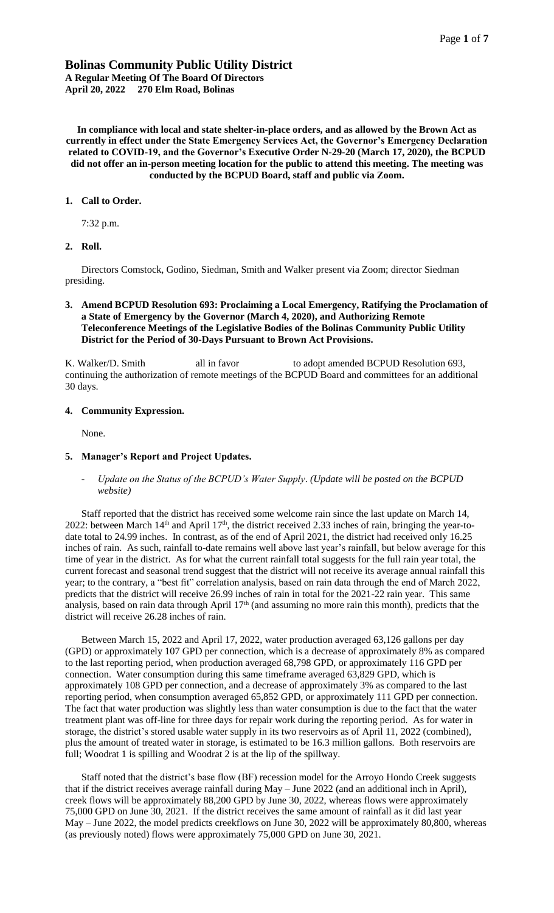# **Bolinas Community Public Utility District A Regular Meeting Of The Board Of Directors April 20, 2022 270 Elm Road, Bolinas**

**In compliance with local and state shelter-in-place orders, and as allowed by the Brown Act as currently in effect under the State Emergency Services Act, the Governor's Emergency Declaration related to COVID-19, and the Governor's Executive Order N-29-20 (March 17, 2020), the BCPUD did not offer an in-person meeting location for the public to attend this meeting. The meeting was conducted by the BCPUD Board, staff and public via Zoom.** 

### **1. Call to Order.**

7:32 p.m.

### **2. Roll.**

Directors Comstock, Godino, Siedman, Smith and Walker present via Zoom; director Siedman presiding.

### **3. Amend BCPUD Resolution 693: Proclaiming a Local Emergency, Ratifying the Proclamation of a State of Emergency by the Governor (March 4, 2020), and Authorizing Remote Teleconference Meetings of the Legislative Bodies of the Bolinas Community Public Utility District for the Period of 30-Days Pursuant to Brown Act Provisions.**

K. Walker/D. Smith all in favor to adopt amended BCPUD Resolution 693, continuing the authorization of remote meetings of the BCPUD Board and committees for an additional 30 days.

#### **4. Community Expression.**

None.

#### **5. Manager's Report and Project Updates.**

*- Update on the Status of the BCPUD's Water Supply*. *(Update will be posted on the BCPUD website)*

Staff reported that the district has received some welcome rain since the last update on March 14, 2022: between March  $14<sup>th</sup>$  and April  $17<sup>th</sup>$ , the district received 2.33 inches of rain, bringing the year-todate total to 24.99 inches. In contrast, as of the end of April 2021, the district had received only 16.25 inches of rain. As such, rainfall to-date remains well above last year's rainfall, but below average for this time of year in the district. As for what the current rainfall total suggests for the full rain year total, the current forecast and seasonal trend suggest that the district will not receive its average annual rainfall this year; to the contrary, a "best fit" correlation analysis, based on rain data through the end of March 2022, predicts that the district will receive 26.99 inches of rain in total for the 2021-22 rain year. This same analysis, based on rain data through April  $17<sup>th</sup>$  (and assuming no more rain this month), predicts that the district will receive 26.28 inches of rain.

Between March 15, 2022 and April 17, 2022, water production averaged 63,126 gallons per day (GPD) or approximately 107 GPD per connection, which is a decrease of approximately 8% as compared to the last reporting period, when production averaged 68,798 GPD, or approximately 116 GPD per connection. Water consumption during this same timeframe averaged 63,829 GPD, which is approximately 108 GPD per connection, and a decrease of approximately 3% as compared to the last reporting period, when consumption averaged 65,852 GPD, or approximately 111 GPD per connection. The fact that water production was slightly less than water consumption is due to the fact that the water treatment plant was off-line for three days for repair work during the reporting period. As for water in storage, the district's stored usable water supply in its two reservoirs as of April 11, 2022 (combined), plus the amount of treated water in storage, is estimated to be 16.3 million gallons. Both reservoirs are full; Woodrat 1 is spilling and Woodrat 2 is at the lip of the spillway.

Staff noted that the district's base flow (BF) recession model for the Arroyo Hondo Creek suggests that if the district receives average rainfall during May – June 2022 (and an additional inch in April), creek flows will be approximately 88,200 GPD by June 30, 2022, whereas flows were approximately 75,000 GPD on June 30, 2021. If the district receives the same amount of rainfall as it did last year May – June 2022, the model predicts creekflows on June 30, 2022 will be approximately 80,800, whereas (as previously noted) flows were approximately 75,000 GPD on June 30, 2021.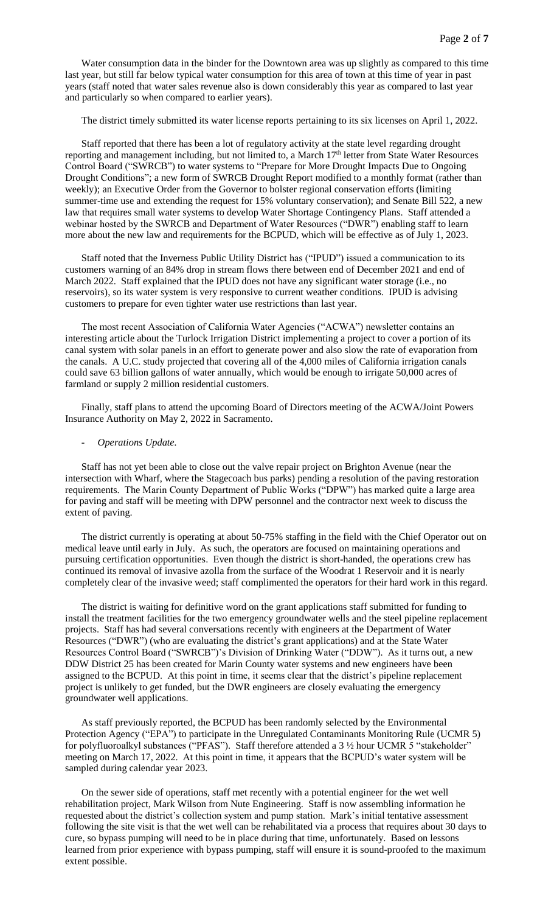Water consumption data in the binder for the Downtown area was up slightly as compared to this time last year, but still far below typical water consumption for this area of town at this time of year in past years (staff noted that water sales revenue also is down considerably this year as compared to last year and particularly so when compared to earlier years).

The district timely submitted its water license reports pertaining to its six licenses on April 1, 2022.

Staff reported that there has been a lot of regulatory activity at the state level regarding drought reporting and management including, but not limited to, a March 17<sup>th</sup> letter from State Water Resources Control Board ("SWRCB") to water systems to "Prepare for More Drought Impacts Due to Ongoing Drought Conditions"; a new form of SWRCB Drought Report modified to a monthly format (rather than weekly); an Executive Order from the Governor to bolster regional conservation efforts (limiting summer-time use and extending the request for 15% voluntary conservation); and Senate Bill 522, a new law that requires small water systems to develop Water Shortage Contingency Plans. Staff attended a webinar hosted by the SWRCB and Department of Water Resources ("DWR") enabling staff to learn more about the new law and requirements for the BCPUD, which will be effective as of July 1, 2023.

Staff noted that the Inverness Public Utility District has ("IPUD") issued a communication to its customers warning of an 84% drop in stream flows there between end of December 2021 and end of March 2022. Staff explained that the IPUD does not have any significant water storage (i.e., no reservoirs), so its water system is very responsive to current weather conditions. IPUD is advising customers to prepare for even tighter water use restrictions than last year.

The most recent Association of California Water Agencies ("ACWA") newsletter contains an interesting article about the Turlock Irrigation District implementing a project to cover a portion of its canal system with solar panels in an effort to generate power and also slow the rate of evaporation from the canals. A U.C. study projected that covering all of the 4,000 miles of California irrigation canals could save 63 billion gallons of water annually, which would be enough to irrigate 50,000 acres of farmland or supply 2 million residential customers.

Finally, staff plans to attend the upcoming Board of Directors meeting of the ACWA/Joint Powers Insurance Authority on May 2, 2022 in Sacramento.

#### *- Operations Update.*

Staff has not yet been able to close out the valve repair project on Brighton Avenue (near the intersection with Wharf, where the Stagecoach bus parks) pending a resolution of the paving restoration requirements. The Marin County Department of Public Works ("DPW") has marked quite a large area for paving and staff will be meeting with DPW personnel and the contractor next week to discuss the extent of paving.

The district currently is operating at about 50-75% staffing in the field with the Chief Operator out on medical leave until early in July. As such, the operators are focused on maintaining operations and pursuing certification opportunities. Even though the district is short-handed, the operations crew has continued its removal of invasive azolla from the surface of the Woodrat 1 Reservoir and it is nearly completely clear of the invasive weed; staff complimented the operators for their hard work in this regard.

The district is waiting for definitive word on the grant applications staff submitted for funding to install the treatment facilities for the two emergency groundwater wells and the steel pipeline replacement projects. Staff has had several conversations recently with engineers at the Department of Water Resources ("DWR") (who are evaluating the district's grant applications) and at the State Water Resources Control Board ("SWRCB")'s Division of Drinking Water ("DDW"). As it turns out, a new DDW District 25 has been created for Marin County water systems and new engineers have been assigned to the BCPUD. At this point in time, it seems clear that the district's pipeline replacement project is unlikely to get funded, but the DWR engineers are closely evaluating the emergency groundwater well applications.

As staff previously reported, the BCPUD has been randomly selected by the Environmental Protection Agency ("EPA") to participate in the Unregulated Contaminants Monitoring Rule (UCMR 5) for polyfluoroalkyl substances ("PFAS"). Staff therefore attended a 3 1/2 hour UCMR 5 "stakeholder" meeting on March 17, 2022. At this point in time, it appears that the BCPUD's water system will be sampled during calendar year 2023.

On the sewer side of operations, staff met recently with a potential engineer for the wet well rehabilitation project, Mark Wilson from Nute Engineering. Staff is now assembling information he requested about the district's collection system and pump station. Mark's initial tentative assessment following the site visit is that the wet well can be rehabilitated via a process that requires about 30 days to cure, so bypass pumping will need to be in place during that time, unfortunately. Based on lessons learned from prior experience with bypass pumping, staff will ensure it is sound-proofed to the maximum extent possible.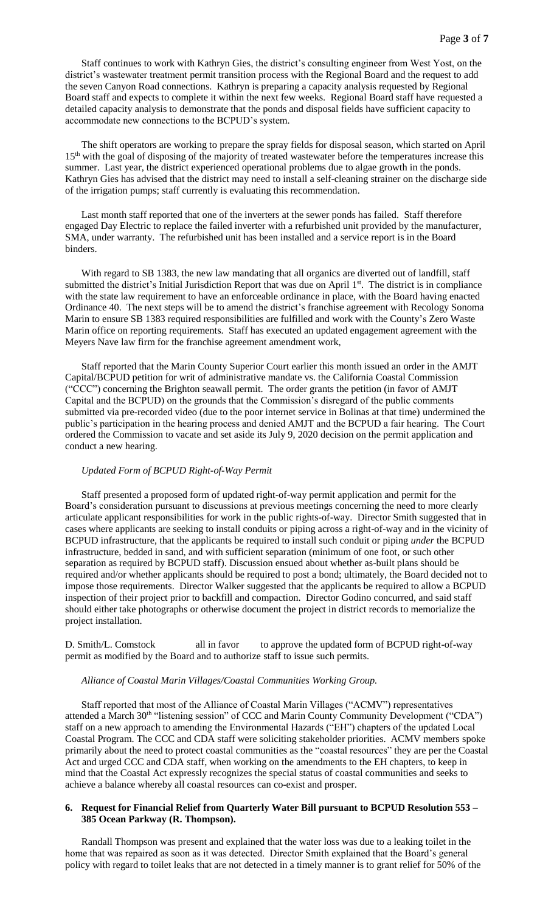Staff continues to work with Kathryn Gies, the district's consulting engineer from West Yost, on the district's wastewater treatment permit transition process with the Regional Board and the request to add the seven Canyon Road connections. Kathryn is preparing a capacity analysis requested by Regional Board staff and expects to complete it within the next few weeks. Regional Board staff have requested a detailed capacity analysis to demonstrate that the ponds and disposal fields have sufficient capacity to accommodate new connections to the BCPUD's system.

The shift operators are working to prepare the spray fields for disposal season, which started on April 15<sup>th</sup> with the goal of disposing of the majority of treated wastewater before the temperatures increase this summer. Last year, the district experienced operational problems due to algae growth in the ponds. Kathryn Gies has advised that the district may need to install a self-cleaning strainer on the discharge side of the irrigation pumps; staff currently is evaluating this recommendation.

Last month staff reported that one of the inverters at the sewer ponds has failed. Staff therefore engaged Day Electric to replace the failed inverter with a refurbished unit provided by the manufacturer, SMA, under warranty. The refurbished unit has been installed and a service report is in the Board binders.

With regard to SB 1383, the new law mandating that all organics are diverted out of landfill, staff submitted the district's Initial Jurisdiction Report that was due on April 1<sup>st</sup>. The district is in compliance with the state law requirement to have an enforceable ordinance in place, with the Board having enacted Ordinance 40. The next steps will be to amend the district's franchise agreement with Recology Sonoma Marin to ensure SB 1383 required responsibilities are fulfilled and work with the County's Zero Waste Marin office on reporting requirements. Staff has executed an updated engagement agreement with the Meyers Nave law firm for the franchise agreement amendment work,

Staff reported that the Marin County Superior Court earlier this month issued an order in the AMJT Capital/BCPUD petition for writ of administrative mandate vs. the California Coastal Commission ("CCC") concerning the Brighton seawall permit. The order grants the petition (in favor of AMJT Capital and the BCPUD) on the grounds that the Commission's disregard of the public comments submitted via pre-recorded video (due to the poor internet service in Bolinas at that time) undermined the public's participation in the hearing process and denied AMJT and the BCPUD a fair hearing. The Court ordered the Commission to vacate and set aside its July 9, 2020 decision on the permit application and conduct a new hearing.

### *Updated Form of BCPUD Right-of-Way Permit*

Staff presented a proposed form of updated right-of-way permit application and permit for the Board's consideration pursuant to discussions at previous meetings concerning the need to more clearly articulate applicant responsibilities for work in the public rights-of-way. Director Smith suggested that in cases where applicants are seeking to install conduits or piping across a right-of-way and in the vicinity of BCPUD infrastructure, that the applicants be required to install such conduit or piping *under* the BCPUD infrastructure, bedded in sand, and with sufficient separation (minimum of one foot, or such other separation as required by BCPUD staff). Discussion ensued about whether as-built plans should be required and/or whether applicants should be required to post a bond; ultimately, the Board decided not to impose those requirements. Director Walker suggested that the applicants be required to allow a BCPUD inspection of their project prior to backfill and compaction. Director Godino concurred, and said staff should either take photographs or otherwise document the project in district records to memorialize the project installation.

D. Smith/L. Comstock all in favor to approve the updated form of BCPUD right-of-way permit as modified by the Board and to authorize staff to issue such permits.

#### *Alliance of Coastal Marin Villages/Coastal Communities Working Group.*

Staff reported that most of the Alliance of Coastal Marin Villages ("ACMV") representatives attended a March 30<sup>th</sup> "listening session" of CCC and Marin County Community Development ("CDA") staff on a new approach to amending the Environmental Hazards ("EH") chapters of the updated Local Coastal Program. The CCC and CDA staff were soliciting stakeholder priorities. ACMV members spoke primarily about the need to protect coastal communities as the "coastal resources" they are per the Coastal Act and urged CCC and CDA staff, when working on the amendments to the EH chapters, to keep in mind that the Coastal Act expressly recognizes the special status of coastal communities and seeks to achieve a balance whereby all coastal resources can co-exist and prosper.

## **6. Request for Financial Relief from Quarterly Water Bill pursuant to BCPUD Resolution 553 – 385 Ocean Parkway (R. Thompson).**

Randall Thompson was present and explained that the water loss was due to a leaking toilet in the home that was repaired as soon as it was detected. Director Smith explained that the Board's general policy with regard to toilet leaks that are not detected in a timely manner is to grant relief for 50% of the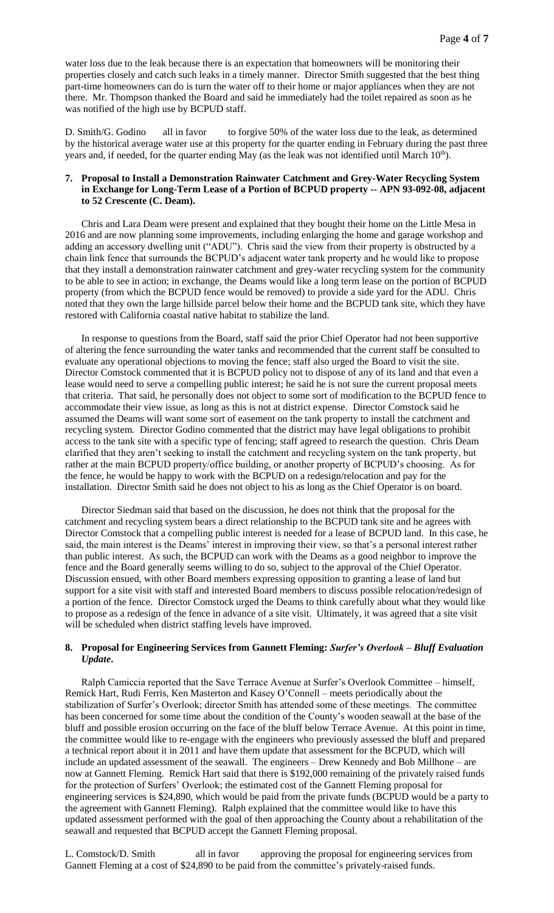water loss due to the leak because there is an expectation that homeowners will be monitoring their properties closely and catch such leaks in a timely manner. Director Smith suggested that the best thing part-time homeowners can do is turn the water off to their home or major appliances when they are not there. Mr. Thompson thanked the Board and said he immediately had the toilet repaired as soon as he was notified of the high use by BCPUD staff.

D. Smith/G. Godino all in favor to forgive 50% of the water loss due to the leak, as determined by the historical average water use at this property for the quarter ending in February during the past three years and, if needed, for the quarter ending May (as the leak was not identified until March 10<sup>th</sup>).

### **7. Proposal to Install a Demonstration Rainwater Catchment and Grey-Water Recycling System in Exchange for Long-Term Lease of a Portion of BCPUD property -- APN 93-092-08, adjacent to 52 Crescente (C. Deam).**

Chris and Lara Deam were present and explained that they bought their home on the Little Mesa in 2016 and are now planning some improvements, including enlarging the home and garage workshop and adding an accessory dwelling unit ("ADU"). Chris said the view from their property is obstructed by a chain link fence that surrounds the BCPUD's adjacent water tank property and he would like to propose that they install a demonstration rainwater catchment and grey-water recycling system for the community to be able to see in action; in exchange, the Deams would like a long term lease on the portion of BCPUD property (from which the BCPUD fence would be removed) to provide a side yard for the ADU. Chris noted that they own the large hillside parcel below their home and the BCPUD tank site, which they have restored with California coastal native habitat to stabilize the land.

In response to questions from the Board, staff said the prior Chief Operator had not been supportive of altering the fence surrounding the water tanks and recommended that the current staff be consulted to evaluate any operational objections to moving the fence; staff also urged the Board to visit the site. Director Comstock commented that it is BCPUD policy not to dispose of any of its land and that even a lease would need to serve a compelling public interest; he said he is not sure the current proposal meets that criteria. That said, he personally does not object to some sort of modification to the BCPUD fence to accommodate their view issue, as long as this is not at district expense. Director Comstock said he assumed the Deams will want some sort of easement on the tank property to install the catchment and recycling system. Director Godino commented that the district may have legal obligations to prohibit access to the tank site with a specific type of fencing; staff agreed to research the question. Chris Deam clarified that they aren't seeking to install the catchment and recycling system on the tank property, but rather at the main BCPUD property/office building, or another property of BCPUD's choosing. As for the fence, he would be happy to work with the BCPUD on a redesign/relocation and pay for the installation. Director Smith said he does not object to his as long as the Chief Operator is on board.

Director Siedman said that based on the discussion, he does not think that the proposal for the catchment and recycling system bears a direct relationship to the BCPUD tank site and he agrees with Director Comstock that a compelling public interest is needed for a lease of BCPUD land. In this case, he said, the main interest is the Deams' interest in improving their view, so that's a personal interest rather than public interest. As such, the BCPUD can work with the Deams as a good neighbor to improve the fence and the Board generally seems willing to do so, subject to the approval of the Chief Operator. Discussion ensued, with other Board members expressing opposition to granting a lease of land but support for a site visit with staff and interested Board members to discuss possible relocation/redesign of a portion of the fence. Director Comstock urged the Deams to think carefully about what they would like to propose as a redesign of the fence in advance of a site visit. Ultimately, it was agreed that a site visit will be scheduled when district staffing levels have improved.

### **8. Proposal for Engineering Services from Gannett Fleming:** *Surfer's Overlook – Bluff Evaluation Update***.**

Ralph Camiccia reported that the Save Terrace Avenue at Surfer's Overlook Committee – himself, Remick Hart, Rudi Ferris, Ken Masterton and Kasey O'Connell – meets periodically about the stabilization of Surfer's Overlook; director Smith has attended some of these meetings. The committee has been concerned for some time about the condition of the County's wooden seawall at the base of the bluff and possible erosion occurring on the face of the bluff below Terrace Avenue. At this point in time, the committee would like to re-engage with the engineers who previously assessed the bluff and prepared a technical report about it in 2011 and have them update that assessment for the BCPUD, which will include an updated assessment of the seawall. The engineers – Drew Kennedy and Bob Millhone – are now at Gannett Fleming. Remick Hart said that there is \$192,000 remaining of the privately raised funds for the protection of Surfers' Overlook; the estimated cost of the Gannett Fleming proposal for engineering services is \$24,890, which would be paid from the private funds (BCPUD would be a party to the agreement with Gannett Fleming). Ralph explained that the committee would like to have this updated assessment performed with the goal of then approaching the County about a rehabilitation of the seawall and requested that BCPUD accept the Gannett Fleming proposal.

L. Comstock/D. Smith all in favor approving the proposal for engineering services from Gannett Fleming at a cost of \$24,890 to be paid from the committee's privately-raised funds.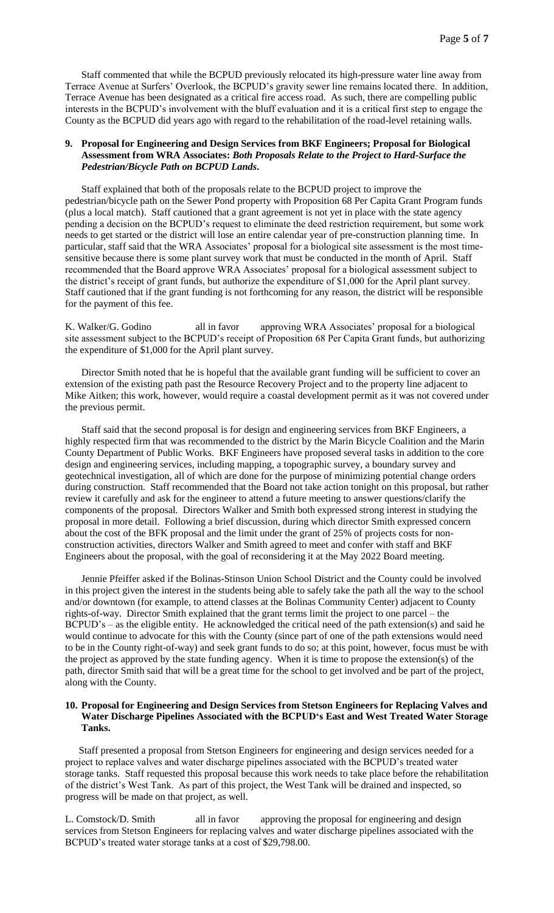Staff commented that while the BCPUD previously relocated its high-pressure water line away from Terrace Avenue at Surfers' Overlook, the BCPUD's gravity sewer line remains located there. In addition, Terrace Avenue has been designated as a critical fire access road. As such, there are compelling public interests in the BCPUD's involvement with the bluff evaluation and it is a critical first step to engage the County as the BCPUD did years ago with regard to the rehabilitation of the road-level retaining walls.

### **9. Proposal for Engineering and Design Services from BKF Engineers; Proposal for Biological Assessment from WRA Associates:** *Both Proposals Relate to the Project to Hard-Surface the Pedestrian/Bicycle Path on BCPUD Lands***.**

Staff explained that both of the proposals relate to the BCPUD project to improve the pedestrian/bicycle path on the Sewer Pond property with Proposition 68 Per Capita Grant Program funds (plus a local match). Staff cautioned that a grant agreement is not yet in place with the state agency pending a decision on the BCPUD's request to eliminate the deed restriction requirement, but some work needs to get started or the district will lose an entire calendar year of pre-construction planning time. In particular, staff said that the WRA Associates' proposal for a biological site assessment is the most timesensitive because there is some plant survey work that must be conducted in the month of April. Staff recommended that the Board approve WRA Associates' proposal for a biological assessment subject to the district's receipt of grant funds, but authorize the expenditure of \$1,000 for the April plant survey. Staff cautioned that if the grant funding is not forthcoming for any reason, the district will be responsible for the payment of this fee.

K. Walker/G. Godino all in favor approving WRA Associates' proposal for a biological site assessment subject to the BCPUD's receipt of Proposition 68 Per Capita Grant funds, but authorizing the expenditure of \$1,000 for the April plant survey.

Director Smith noted that he is hopeful that the available grant funding will be sufficient to cover an extension of the existing path past the Resource Recovery Project and to the property line adjacent to Mike Aitken; this work, however, would require a coastal development permit as it was not covered under the previous permit.

Staff said that the second proposal is for design and engineering services from BKF Engineers, a highly respected firm that was recommended to the district by the Marin Bicycle Coalition and the Marin County Department of Public Works. BKF Engineers have proposed several tasks in addition to the core design and engineering services, including mapping, a topographic survey, a boundary survey and geotechnical investigation, all of which are done for the purpose of minimizing potential change orders during construction. Staff recommended that the Board not take action tonight on this proposal, but rather review it carefully and ask for the engineer to attend a future meeting to answer questions/clarify the components of the proposal. Directors Walker and Smith both expressed strong interest in studying the proposal in more detail. Following a brief discussion, during which director Smith expressed concern about the cost of the BFK proposal and the limit under the grant of 25% of projects costs for nonconstruction activities, directors Walker and Smith agreed to meet and confer with staff and BKF Engineers about the proposal, with the goal of reconsidering it at the May 2022 Board meeting.

Jennie Pfeiffer asked if the Bolinas-Stinson Union School District and the County could be involved in this project given the interest in the students being able to safely take the path all the way to the school and/or downtown (for example, to attend classes at the Bolinas Community Center) adjacent to County rights-of-way. Director Smith explained that the grant terms limit the project to one parcel – the BCPUD's – as the eligible entity. He acknowledged the critical need of the path extension(s) and said he would continue to advocate for this with the County (since part of one of the path extensions would need to be in the County right-of-way) and seek grant funds to do so; at this point, however, focus must be with the project as approved by the state funding agency. When it is time to propose the extension(s) of the path, director Smith said that will be a great time for the school to get involved and be part of the project, along with the County.

#### **10. Proposal for Engineering and Design Services from Stetson Engineers for Replacing Valves and Water Discharge Pipelines Associated with the BCPUD's East and West Treated Water Storage Tanks.**

Staff presented a proposal from Stetson Engineers for engineering and design services needed for a project to replace valves and water discharge pipelines associated with the BCPUD's treated water storage tanks. Staff requested this proposal because this work needs to take place before the rehabilitation of the district's West Tank. As part of this project, the West Tank will be drained and inspected, so progress will be made on that project, as well.

L. Comstock/D. Smith all in favor approving the proposal for engineering and design services from Stetson Engineers for replacing valves and water discharge pipelines associated with the BCPUD's treated water storage tanks at a cost of \$29,798.00.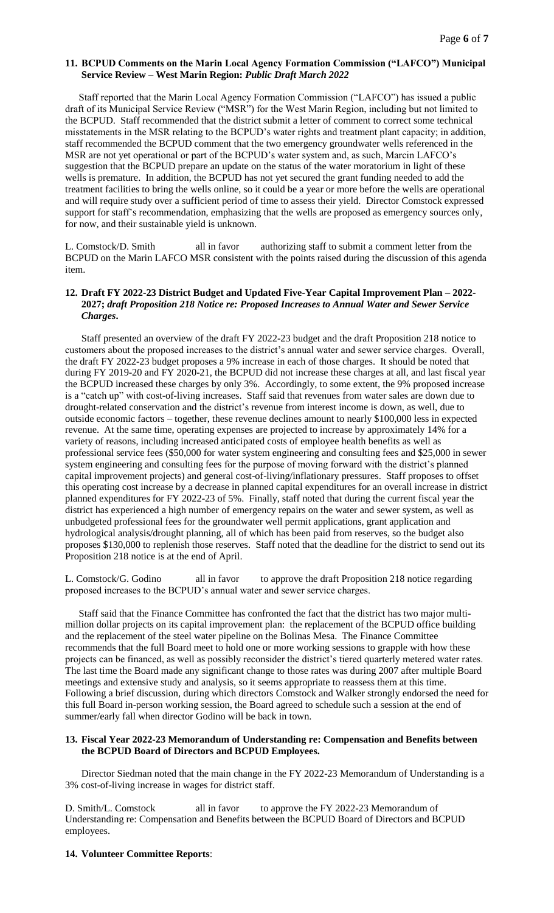### **11. BCPUD Comments on the Marin Local Agency Formation Commission ("LAFCO") Municipal Service Review – West Marin Region:** *Public Draft March 2022*

Staff reported that the Marin Local Agency Formation Commission ("LAFCO") has issued a public draft of its Municipal Service Review ("MSR") for the West Marin Region, including but not limited to the BCPUD. Staff recommended that the district submit a letter of comment to correct some technical misstatements in the MSR relating to the BCPUD's water rights and treatment plant capacity; in addition, staff recommended the BCPUD comment that the two emergency groundwater wells referenced in the MSR are not yet operational or part of the BCPUD's water system and, as such, Marcin LAFCO's suggestion that the BCPUD prepare an update on the status of the water moratorium in light of these wells is premature. In addition, the BCPUD has not yet secured the grant funding needed to add the treatment facilities to bring the wells online, so it could be a year or more before the wells are operational and will require study over a sufficient period of time to assess their yield. Director Comstock expressed support for staff's recommendation, emphasizing that the wells are proposed as emergency sources only, for now, and their sustainable yield is unknown.

L. Comstock/D. Smith all in favor authorizing staff to submit a comment letter from the BCPUD on the Marin LAFCO MSR consistent with the points raised during the discussion of this agenda item.

## **12. Draft FY 2022-23 District Budget and Updated Five-Year Capital Improvement Plan – 2022- 2027;** *draft Proposition 218 Notice re: Proposed Increases to Annual Water and Sewer Service Charges***.**

Staff presented an overview of the draft FY 2022-23 budget and the draft Proposition 218 notice to customers about the proposed increases to the district's annual water and sewer service charges. Overall, the draft FY 2022-23 budget proposes a 9% increase in each of those charges. It should be noted that during FY 2019-20 and FY 2020-21, the BCPUD did not increase these charges at all, and last fiscal year the BCPUD increased these charges by only 3%. Accordingly, to some extent, the 9% proposed increase is a "catch up" with cost-of-living increases. Staff said that revenues from water sales are down due to drought-related conservation and the district's revenue from interest income is down, as well, due to outside economic factors – together, these revenue declines amount to nearly \$100,000 less in expected revenue. At the same time, operating expenses are projected to increase by approximately 14% for a variety of reasons, including increased anticipated costs of employee health benefits as well as professional service fees (\$50,000 for water system engineering and consulting fees and \$25,000 in sewer system engineering and consulting fees for the purpose of moving forward with the district's planned capital improvement projects) and general cost-of-living/inflationary pressures. Staff proposes to offset this operating cost increase by a decrease in planned capital expenditures for an overall increase in district planned expenditures for FY 2022-23 of 5%. Finally, staff noted that during the current fiscal year the district has experienced a high number of emergency repairs on the water and sewer system, as well as unbudgeted professional fees for the groundwater well permit applications, grant application and hydrological analysis/drought planning, all of which has been paid from reserves, so the budget also proposes \$130,000 to replenish those reserves. Staff noted that the deadline for the district to send out its Proposition 218 notice is at the end of April.

L. Comstock/G. Godino all in favor to approve the draft Proposition 218 notice regarding proposed increases to the BCPUD's annual water and sewer service charges.

Staff said that the Finance Committee has confronted the fact that the district has two major multimillion dollar projects on its capital improvement plan: the replacement of the BCPUD office building and the replacement of the steel water pipeline on the Bolinas Mesa. The Finance Committee recommends that the full Board meet to hold one or more working sessions to grapple with how these projects can be financed, as well as possibly reconsider the district's tiered quarterly metered water rates. The last time the Board made any significant change to those rates was during 2007 after multiple Board meetings and extensive study and analysis, so it seems appropriate to reassess them at this time. Following a brief discussion, during which directors Comstock and Walker strongly endorsed the need for this full Board in-person working session, the Board agreed to schedule such a session at the end of summer/early fall when director Godino will be back in town.

### **13. Fiscal Year 2022-23 Memorandum of Understanding re: Compensation and Benefits between the BCPUD Board of Directors and BCPUD Employees.**

Director Siedman noted that the main change in the FY 2022-23 Memorandum of Understanding is a 3% cost-of-living increase in wages for district staff.

D. Smith/L. Comstock all in favor to approve the FY 2022-23 Memorandum of Understanding re: Compensation and Benefits between the BCPUD Board of Directors and BCPUD employees.

#### **14. Volunteer Committee Reports**: